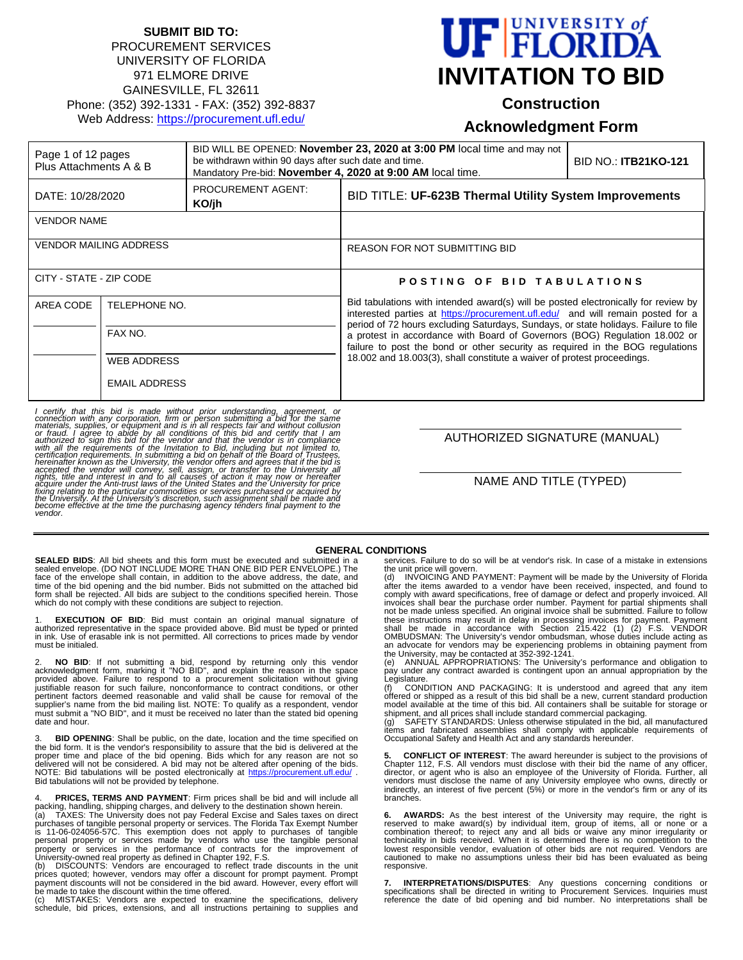#### **SUBMIT BID TO:** PROCUREMENT SERVICES UNIVERSITY OF FLORIDA 971 ELMORE DRIVE GAINESVILLE, FL 32611 Phone: (352) 392-1331 - FAX: (352) 392-8837 Web Address: https://procurement.ufl.edu/

## **UF FLORIDA INVITATION TO BID**

#### **Construction**

**Acknowledgment Form** 

| Page 1 of 12 pages<br>Plus Attachments A & B |                      | BID WILL BE OPENED: <b>November 23, 2020 at 3:00 PM</b> local time and may not<br>be withdrawn within 90 days after such date and time.<br>Mandatory Pre-bid: November 4, 2020 at 9:00 AM local time. |                                                                                                                                                                                                                                                                                                                                                                                                                             | <b>BID NO.: ITB21KO-121</b> |  |
|----------------------------------------------|----------------------|-------------------------------------------------------------------------------------------------------------------------------------------------------------------------------------------------------|-----------------------------------------------------------------------------------------------------------------------------------------------------------------------------------------------------------------------------------------------------------------------------------------------------------------------------------------------------------------------------------------------------------------------------|-----------------------------|--|
| DATE: 10/28/2020                             |                      | PROCUREMENT AGENT:<br>KO/jh                                                                                                                                                                           | BID TITLE: UF-623B Thermal Utility System Improvements                                                                                                                                                                                                                                                                                                                                                                      |                             |  |
| <b>VENDOR NAME</b>                           |                      |                                                                                                                                                                                                       |                                                                                                                                                                                                                                                                                                                                                                                                                             |                             |  |
| <b>VENDOR MAILING ADDRESS</b>                |                      |                                                                                                                                                                                                       | <b>REASON FOR NOT SUBMITTING BID</b>                                                                                                                                                                                                                                                                                                                                                                                        |                             |  |
| CITY - STATE - ZIP CODE                      |                      |                                                                                                                                                                                                       | POSTING OF BID TABULATIONS                                                                                                                                                                                                                                                                                                                                                                                                  |                             |  |
| AREA CODE<br>TELEPHONE NO.                   |                      |                                                                                                                                                                                                       | Bid tabulations with intended award(s) will be posted electronically for review by<br>interested parties at https://procurement.ufl.edu/ and will remain posted for a<br>period of 72 hours excluding Saturdays, Sundays, or state holidays. Failure to file<br>a protest in accordance with Board of Governors (BOG) Regulation 18.002 or<br>failure to post the bond or other security as required in the BOG regulations |                             |  |
|                                              | FAX NO.              |                                                                                                                                                                                                       |                                                                                                                                                                                                                                                                                                                                                                                                                             |                             |  |
|                                              | <b>WEB ADDRESS</b>   |                                                                                                                                                                                                       | 18.002 and 18.003(3), shall constitute a waiver of protest proceedings.                                                                                                                                                                                                                                                                                                                                                     |                             |  |
|                                              | <b>EMAIL ADDRESS</b> |                                                                                                                                                                                                       |                                                                                                                                                                                                                                                                                                                                                                                                                             |                             |  |

I certify that this bid is made without prior understanding, agreement, or connection with any corporation, firm or person submitting a bid for the same materials, supplies, or equipment and is in all respects fair and wit

AUTHORIZED SIGNATURE (MANUAL)

NAME AND TITLE (TYPED)

#### **GENERAL CONDITIONS**

**SEALED BIDS**: All bid sheets and this form must be executed and submitted in a sealed envelope. (DO NOT INCLUDE MORE THAN ONE BID PER ENVELOPE.) The<br>face of the envelope shall contain, in addition to the above address, the date, and<br>time of the bid opening and the bid number. Bids not submitted on th

1. **EXECUTION OF BID**: Bid must contain an original manual signature of<br>authorized representative in the space provided above. Bid must be typed or printed<br>in ink. Use of erasable ink is not permitted. All c must be initialed.

2. NO BID: If not submitting a bid, respond by returning only this vendor<br>acknowledgment form, marking it "NO BID", and explain the reason in the space<br>provided above. Failure to respond to a procurement solicitation with justifiable reason for such failure, nonconformance to contract conditions, or other pertinent factors deemed reasonable and valid shall be cause for removal of the<br>supplier's name from the bid mailing list. NOTE: To qualify as a respondent, vendor<br>must submit a "NO BID", and it must be received no later t date and hour.

**BID OPENING**: Shall be public, on the date, location and the time specified on the bid form. It is the vendor's responsibility to assure that the bid is delivered at the proper time and place of the bid opening. Bids which for any reason are not so delivered will not be considered. A bid may not be altered after opening of the bids.<br>NOTE: Bid tabulations will be posted electronically at <u>https://procurement.ufl.edu/</u> .<br>Bid tabulations will not be provided by telephon

4. **PRICES, TERMS AND PAYMENT**: Firm prices shall be bid and will include all packing, handling, shipping charges, and delivery to the destination shown herein.

(a) TAXES: The University does not pay Federal Excise and Sales taxes on direct<br>purchases of tangible personal property or services. The Florida Tax Exempt Number<br>is 11-06-024056-57C. This exemption does not apply personal property or services made by vendors who use the tangible personal property or services in the performance of contracts for the improvement of University-owned real property as defined in Chapter 192, F.S.

(b) DISCOUNTS: Vendors are encouraged to reflect trade discounts in the unit<br>prices quoted; however, vendors may offer a discount for prompt payment. Prompt<br>payment discounts will not be considered in the bid award. Howeve

be made to take the discount within the time offered.<br>(c) MISTAKES: Vendors are expected to examine the specifications, delivery<br>schedule, bid prices, extensions, and all instructions pertaining to supplie

services. Failure to do so will be at vendor's risk. In case of a mistake in extensions

the unit price will govern. (d) INVOICING AND PAYMENT: Payment will be made by the University of Florida after the items awarded to a vendor have been received, inspected, and found to<br>comply with award specifications, free of damage or defect and properly invoiced. All<br>invoices shall bear the purchase order number. Payment f these instructions may result in delay in processing invoices for payment. Payment<br>shall be made in accordance with Section 215.422 (1) (2) F.S. VENDOR<br>OMBUDSMAN: The University's vendor ombudsman, whose duties an advocate for vendors may be experiencing problems in obtaining payment from<br>the University, may be contacted at 352-392-1241.<br>(e) ANNUAL APPROPRIATIONS: The University's performance and obligation to

pay under any contract awarded is contingent upon an annual appropriation by the Legislature.

(f) CONDITION AND PACKAGING: It is understood and agreed that any item offered or shipped as a result of this bid shall be a new, current standard production model available at the time of this bid. All containers shall be suitable for storage or

shipment, and all prices shall include standard commercial packaging.<br>(g) SAFETY STANDARDS: Unless otherwise stipulated in the bid, all manufactured<br>items and fabricated assemblies shall comply with applicable re

**5. CONFLICT OF INTEREST**: The award hereunder is subject to the provisions of Chapter 112, F.S. All vendors must disclose with their bid the name of any officer,<br>director, or agent who is also an employee of the University of Florida. Further, all<br>vendors must disclose the name of any University emp branches.

**6. AWARDS:** As the best interest of the University may require, the right is<br>reserved to make award(s) by individual item, group of items, all or none or a<br>combination thereof; to reject any and all bids or waive any mino technicality in bids received. When it is determined there is no competition to the lowest responsible vendor, evaluation of other bids are not required. Vendors are cautioned to make no assumptions unless their bid has been evaluated as being responsive.

**7. INTERPRETATIONS/DISPUTES**: Any questions concerning conditions or specifications shall be directed in writing to Procurement Services. Inquiries must reference the date of bid opening and bid number. No interpretations shall be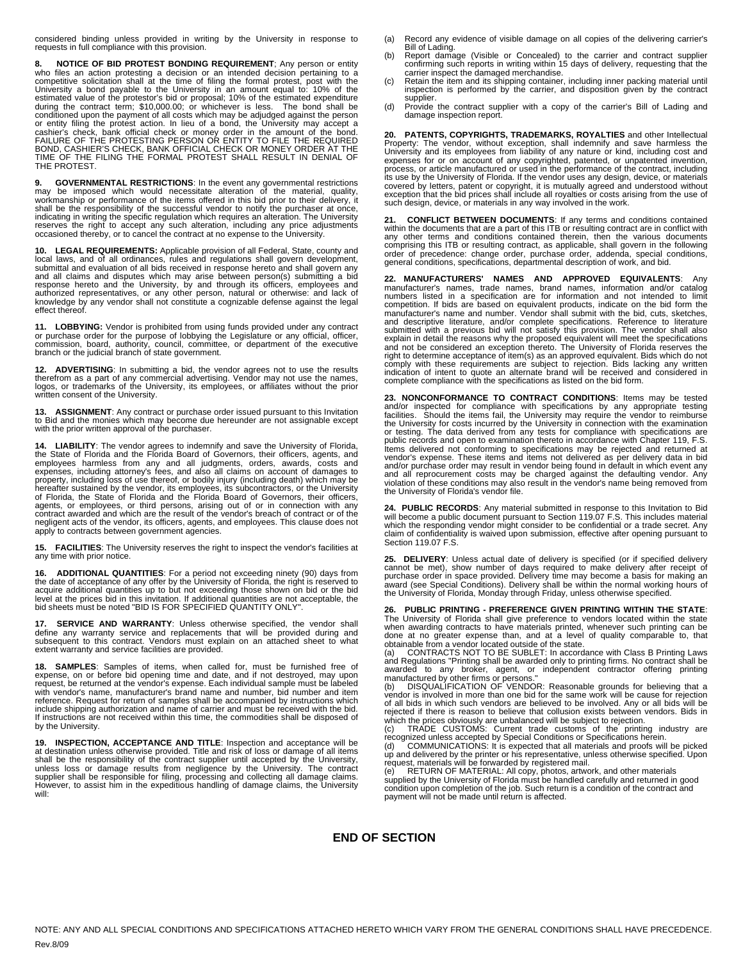considered binding unless provided in writing by the University in response to requests in full compliance with this provision.

**8. NOTICE OF BID PROTEST BONDING REQUIREMENT**; Any person or entity who files an action protesting a decision or an intended decision pertaining to a competitive solicitation shall at the time of filing the formal protest, post with the University a bond payable to the University in an amo or entity filing the protest action. In lieu of a bond, the University may accept a<br>cashier's check, bank official check or money order in the amount of the bond.<br>FAILURE OF THE PROTESTING PERSON OR ENTITY TO FILE THE REQU THE PROTEST.

**9. GOVERNMENTAL RESTRICTIONS:** In the event any governmental restrictions may be imposed which would necessitate alteration of the material, quality, workmanship or performance of the items offered in this bid prior to th indicating in writing the specific regulation which requires an alteration. The University<br>reserves the right to accept any such alteration, including any price adjustments<br>occasioned thereby, or to cancel the contract at

**10. LEGAL REQUIREMENTS:** Applicable provision of all Federal, State, county and local laws, and of all ordinances, rules and regulations shall govern development, submittal and evaluation of all bids received in response hereto and shall govern any and all claims and disputes which may arise between person(s) submitting a bid<br>response hereto and the University, by and through its officers, employees and<br>authorized representatives, or any other person, natural or othe effect thereof.

**11. LOBBYING:** Vendor is prohibited from using funds provided under any contract or purchase order for the purpose of lobbying the Legislature or any official, officer, commission, board, authority, council, committee, or department of the executive branch or the judicial branch of state government.

**12. ADVERTISING**: In submitting a bid, the vendor agrees not to use the results therefrom as a part of any commercial advertising. Vendor may not use the names, logos, or trademarks of the University, its employees, or affiliates without the prior written consent of the University.

**13. ASSIGNMENT**: Any contract or purchase order issued pursuant to this Invitation<br>to Bid and the monies which may become due hereunder are not assignable except<br>with the prior written approval of the purchaser.

**14. LIABILITY**: The vendor agrees to indemnify and save the University of Florida, the State of Florida and the Florida Board of Governors, their officers, agents, and employees harmless from any and all judgments, orders, awards, costs and<br>expenses, including attorney's fees, and also all claims on account of damages to<br>property, including loss of use thereof, or bodily injury (includin hereafter sustained by the vendor, its employees, its subcontractors, or the University<br>of Florida, the State of Florida and the Florida Board of Governors, their officers,<br>agents, or employees, or third persons, arising o contract awarded and which are the result of the vendor's breach of contract or of the<br>negligent acts of the vendor, its officers, agents, and employees. This clause does not<br>apply to contracts between government agencies.

**15. FACILITIES**: The University reserves the right to inspect the vendor's facilities at any time with prior notice.

**16. ADDITIONAL QUANTITIES**: For a period not exceeding ninety (90) days from the date of acceptance of any offer by the University of Florida, the right is reserved to acquire additional quantities up to but not exceeding those shown on bid or the bid<br>level at the prices bid in this invitation. If additional quantities are not acceptable, the<br>bid sheets must be noted "BID IS FOR SPECIFIE

17. SERVICE AND WARRANTY: Unless otherwise specified, the vendor shall define any warranty service and replacements that will be provided during and subsequent to this contract. Vendors must explain on an attached sheet to

**18. SAMPLES**: Samples of items, when called for, must be furnished free of expense, on or before bid opening time and date, and if not destroyed, may upon request, be returned at the vendor's expense. Each individual sample must be labeled with vendor's name, manufacturer's brand name and number, bid number and item reference. Request for return of samples shall be accompanied by instructions which include shipping authorization and name of carrier and must be received with the bid. If instructions are not received within this time, the commodities shall be disposed of by the University.

**19. INSPECTION, ACCEPTANCE AND TITLE:** Inspection and acceptance will be at destination unless otherwise provided. Title and risk of loss or damage of all items shall be the responsibility of the contract supplier until a

- (a) Record any evidence of visible damage on all copies of the delivering carrier's Bill of Lading.
- (b) Report damage (Visible or Concealed) to the carrier and contract supplier confirming such reports in writing within 15 days of delivery, requesting that the carrier inspect the damaged merchandise.
- (c) Retain the item and its shipping container, including inner packing material until inspection is performed by the carrier, and disposition given by the contract supplier.
- (d) Provide the contract supplier with a copy of the carrier's Bill of Lading and damage inspection report.

20. PATENTS, COPYRIGHTS, TRADEMARKS, ROYALTIES and other Intellectual<br>Property: The vendor, without exception, shall indemnify and save harmless the<br>University and its employees from liability of any nature or kind, includ expenses for or on account of any copyrighted, patented, or unpatented invention,<br>process, or article manufactured or used in the performance of the contract, including<br>its use by the University of Florida. If the vendor u covered by letters, patent or copyright, it is mutually agreed and understood without<br>exception that the bid prices shall include all royalties or costs arising from the use of<br>such design, device, or materials in any way

**21. CONFLICT BETWEEN DOCUMENTS**: If any terms and conditions contained within the documents that are a part of this ITB or resulting contract are in conflict with any other terms and conditions contained therein, then the various documents<br>comprising this ITB or resulting contract, as applicable, shall govern in the following<br>order of precedence: change order, purchase order, addend general conditions, specifications, departmental description of work, and bid.

**22. MANUFACTURERS' NAMES AND APPROVED EQUIVALENTS**: Any manufacturer's names, trade names, brand names, information and/or catalog<br>numbers listed in a specification are for information and not intended to limit<br>competition. If bids are based on equivalent products, indicate on manufacturer's name and number. Vendor shall submit with the bid, cuts, sketches, and descriptive literature, and/or complete specifications. Reference to literature submitted with a previous bid will not satisfy this provision. The vendor shall also explain in detail the reasons why the proposed equivalent will meet the specifications and not be considered an exception thereto. The University of Florida reserves the right to determine acceptance of item(s) as an approved equivalent. Bids which do not comply with these requirements are subject to rejection. Bids lacking any written<br>indication of intent to quote an alternate brand will be received and considered in<br>complete compliance with the specifications as listed on

**23. NONCONFORMANCE TO CONTRACT CONDITIONS**: Items may be tested and/or inspected for compliance with specifications by any appropriate testing<br>facilities. Should the items fail, the University may require the vendor to reimburse<br>the University for costs incurred by the University in co public records and open to examination thereto in accordance with Chapter 119, F.S. Items delivered not conforming to specifications may be rejected and returned at vendor's expense. These items and items not delivered as per delivery data in bid and/or purchase order may result in vendor being found in default in which event any<br>and all reprocurement costs may be charged against the defaulting vendor. Any<br>violation of these conditions may also result in the University of Florida's vendor file.

**24. PUBLIC RECORDS**: Any material submitted in response to this Invitation to Bid will become a public document pursuant to Section 119.07 F.S. This includes material which the responding vendor might consider to be confidential or a trade secret. Any claim of confidentiality is waived upon submission, effective after opening pursuant to Section 119.07 F.S.

**25. DELIVERY**: Unless actual date of delivery is specified (or if specified delivery cannot be met), show number of days required to make delivery after receipt of<br>purchase order in space provided. Delivery time may become a basis for making an<br>award (see Special Conditions). Delivery shall be within the n the University of Florida, Monday through Friday, unless otherwise specified.

**26. PUBLIC PRINTING - PREFERENCE GIVEN PRINTING WITHIN THE STATE**: The University of Florida shall give preference to vendors located within the state<br>when awarding contracts to have materials printed, whenever such printing can be<br>done at no greater expense than, and at a level of qualit

and Regulations "Printing shall be awarded only to printing firms. No contract shall be awarded to any broker, agent, or independent contractor offering printing manufactured by other firms or persons." (b) DISQUALIFICATION OF VENDOR: Reasonable grounds for believing that a

vendor is involved in more than one bid for the same work will be cause for rejection of all bids in which such vendors are believed to be involved. Any or all bids will be rejected if there is reason to believe that collusion exists between vendors. Bids in

rejected if there is reason to believe that collusion exists between vendors. Bids in which the prices obviously are unbalanced will be subject to rejection.<br>(c) TRADE CUSTOMS: Current trade customs of the printing industr

payment will not be made until return is affected.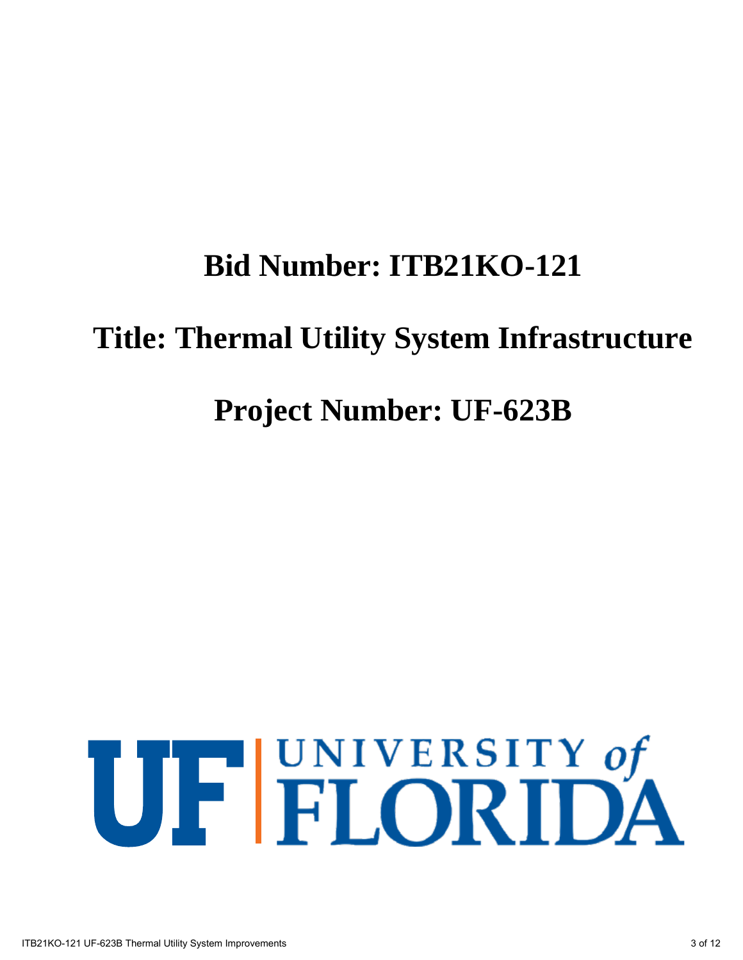# **Bid Number: ITB21KO-121 Title: Thermal Utility System Infrastructure Project Number: UF-623B**

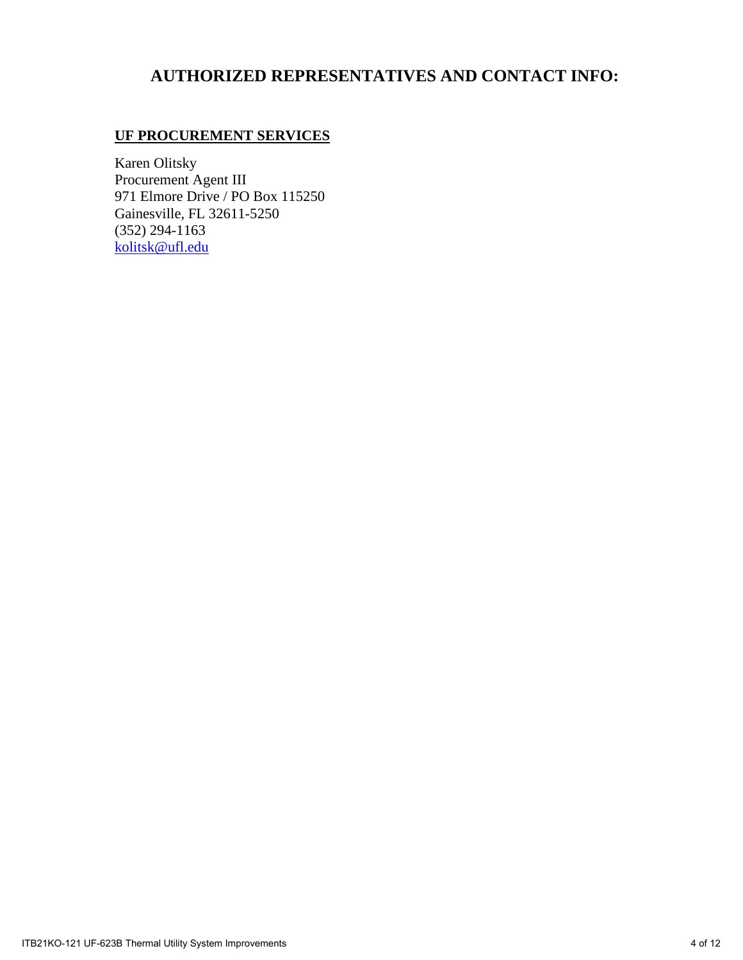#### **AUTHORIZED REPRESENTATIVES AND CONTACT INFO:**

#### **UF PROCUREMENT SERVICES**

Karen Olitsky Procurement Agent III 971 Elmore Drive / PO Box 115250 Gainesville, FL 32611-5250 (352) 294-1163 kolitsk@ufl.edu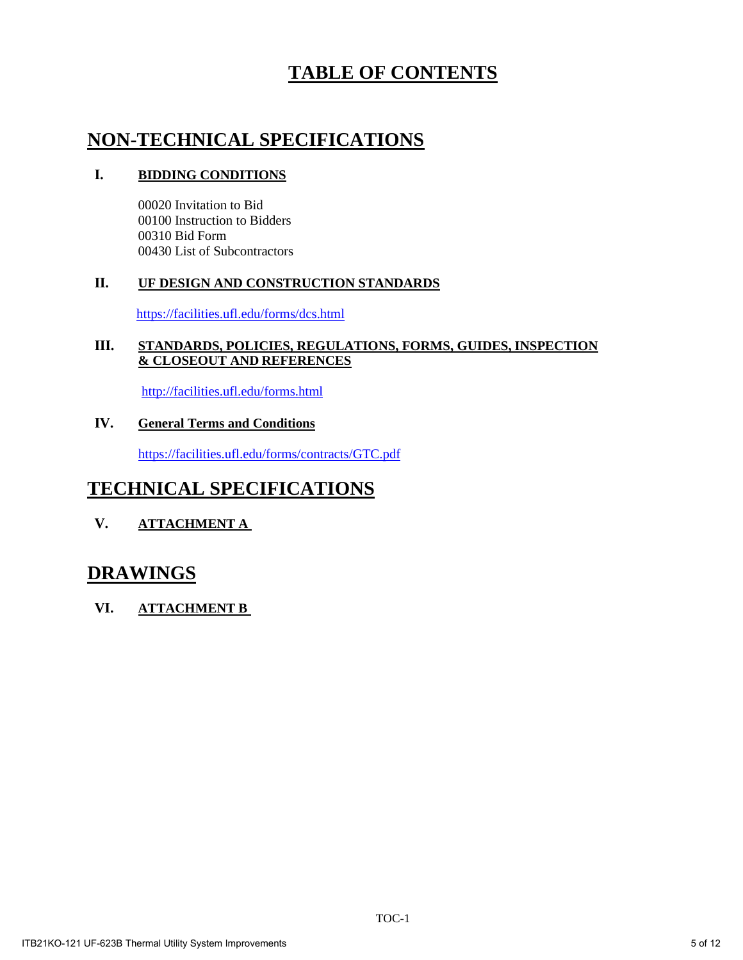### **TABLE OF CONTENTS**

#### **NON-TECHNICAL SPECIFICATIONS**

#### **I. BIDDING CONDITIONS**

00020 Invitation to Bid 00100 Instruction to Bidders 00310 Bid Form 00430 List of Subcontractors

#### **II. UF DESIGN AND CONSTRUCTION STANDARDS**

https://facilities.ufl.edu/forms/dcs.html

#### **III. STANDARDS, POLICIES, REGULATIONS, FORMS, GUIDES, INSPECTION & CLOSEOUT AND REFERENCES**

http://facilities.ufl.edu/forms.html

#### **IV. General Terms and Conditions**

https://facilities.ufl.edu/forms/contracts/GTC.pdf

#### **TECHNICAL SPECIFICATIONS**

**V. ATTACHMENT A** 

#### **DRAWINGS**

**VI. ATTACHMENT B**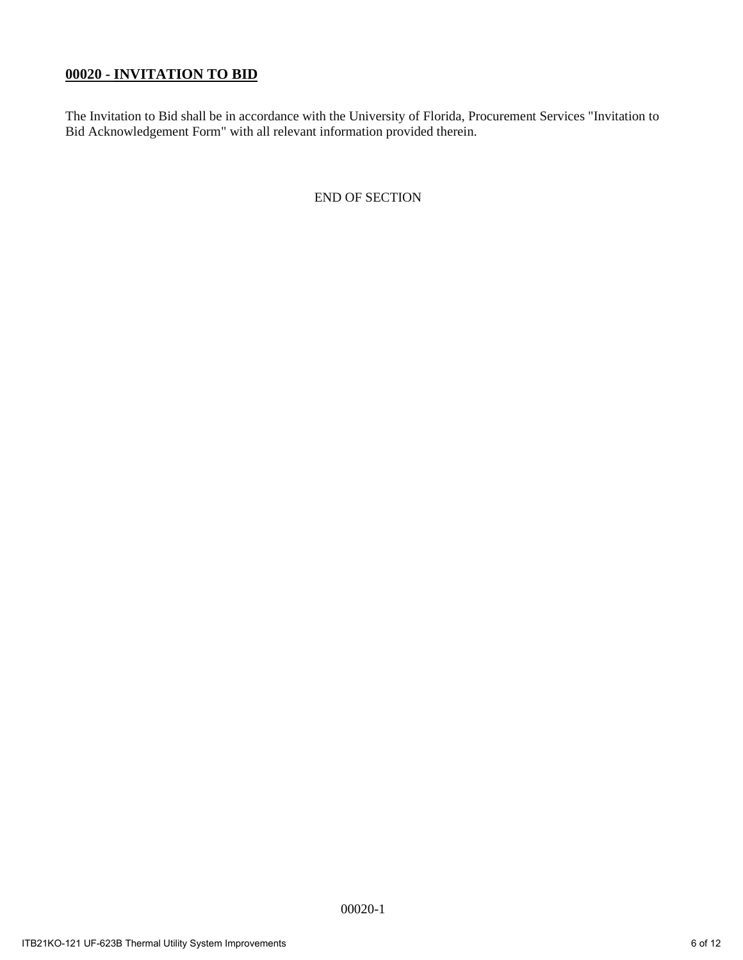#### **00020 - INVITATION TO BID**

The Invitation to Bid shall be in accordance with the University of Florida, Procurement Services "Invitation to Bid Acknowledgement Form" with all relevant information provided therein.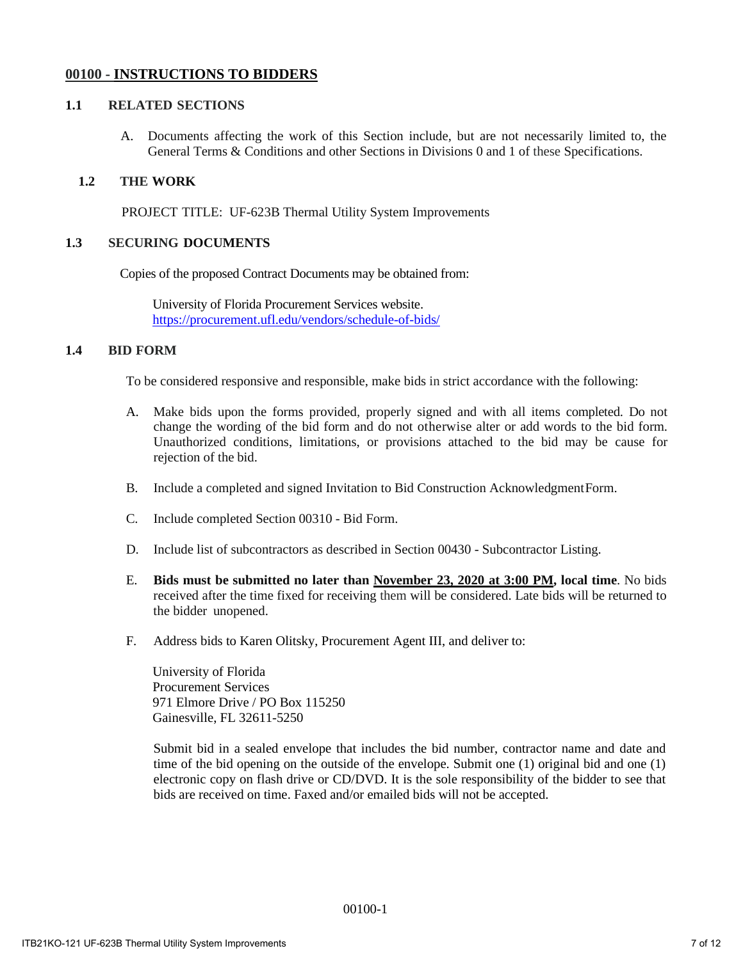#### **00100 - INSTRUCTIONS TO BIDDERS**

#### **1.1 RELATED SECTIONS**

A. Documents affecting the work of this Section include, but are not necessarily limited to, the General Terms & Conditions and other Sections in Divisions 0 and 1 of these Specifications.

#### **1.2 THE WORK**

PROJECT TITLE: UF-623B Thermal Utility System Improvements

#### **1.3 SECURING DOCUMENTS**

Copies of the proposed Contract Documents may be obtained from:

University of Florida Procurement Services website. https://procurement.ufl.edu/vendors/schedule-of-bids/

#### **1.4 BID FORM**

To be considered responsive and responsible, make bids in strict accordance with the following:

- A. Make bids upon the forms provided, properly signed and with all items completed. Do not change the wording of the bid form and do not otherwise alter or add words to the bid form. Unauthorized conditions, limitations, or provisions attached to the bid may be cause for rejection of the bid.
- B. Include a completed and signed Invitation to Bid Construction Acknowledgment Form.
- C. Include completed Section 00310 Bid Form.
- D. Include list of subcontractors as described in Section 00430 Subcontractor Listing.
- E. **Bids must be submitted no later than November 23, 2020 at 3:00 PM, local time**. No bids received after the time fixed for receiving them will be considered. Late bids will be returned to the bidder unopened.
- F. Address bids to Karen Olitsky, Procurement Agent III, and deliver to:

University of Florida Procurement Services 971 Elmore Drive / PO Box 115250 Gainesville, FL 32611-5250

Submit bid in a sealed envelope that includes the bid number, contractor name and date and time of the bid opening on the outside of the envelope. Submit one (1) original bid and one (1) electronic copy on flash drive or CD/DVD. It is the sole responsibility of the bidder to see that bids are received on time. Faxed and/or emailed bids will not be accepted.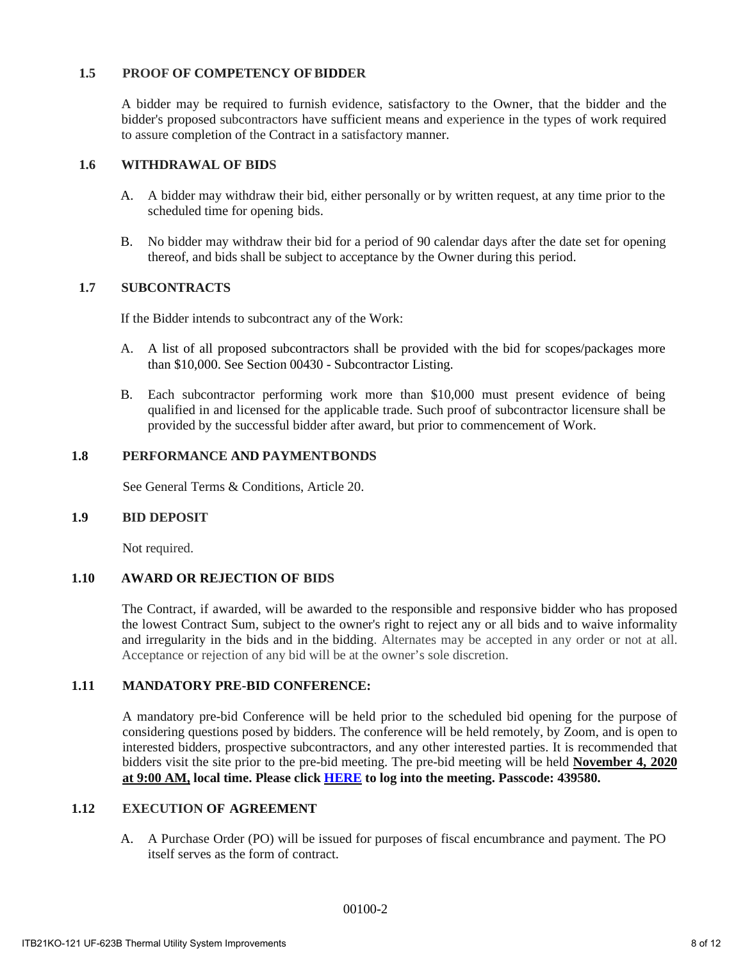#### **1.5 PROOF OF COMPETENCY OFBIDDER**

A bidder may be required to furnish evidence, satisfactory to the Owner, that the bidder and the bidder's proposed subcontractors have sufficient means and experience in the types of work required to assure completion of the Contract in a satisfactory manner.

#### **1.6 WITHDRAWAL OF BIDS**

- A. A bidder may withdraw their bid, either personally or by written request, at any time prior to the scheduled time for opening bids.
- B. No bidder may withdraw their bid for a period of 90 calendar days after the date set for opening thereof, and bids shall be subject to acceptance by the Owner during this period.

#### **1.7 SUBCONTRACTS**

If the Bidder intends to subcontract any of the Work:

- A. A list of all proposed subcontractors shall be provided with the bid for scopes/packages more than \$10,000. See Section 00430 - Subcontractor Listing.
- B. Each subcontractor performing work more than \$10,000 must present evidence of being qualified in and licensed for the applicable trade. Such proof of subcontractor licensure shall be provided by the successful bidder after award, but prior to commencement of Work.

#### **1.8 PERFORMANCE AND PAYMENTBONDS**

See General Terms & Conditions, Article 20.

#### **1.9 BID DEPOSIT**

Not required.

#### **1.10 AWARD OR REJECTION OF BIDS**

The Contract, if awarded, will be awarded to the responsible and responsive bidder who has proposed the lowest Contract Sum, subject to the owner's right to reject any or all bids and to waive informality and irregularity in the bids and in the bidding. Alternates may be accepted in any order or not at all. Acceptance or rejection of any bid will be at the owner's sole discretion.

#### **1.11 MANDATORY PRE-BID CONFERENCE:**

A mandatory pre-bid Conference will be held prior to the scheduled bid opening for the purpose of considering questions posed by bidders. The conference will be held remotely, by Zoom, and is open to interested bidders, prospective subcontractors, and any other interested parties. It is recommended that bidders visit the site prior to the pre-bid meeting. The pre-bid meeting will be held **November 4, 2020 at 9:00 AM, local time. Please click [HERE](https://ufl.zoom.us/j/93544424755?pwd=N0lSS1k4UzFDbU1PdERvbk5SNHpBQT09) to log into the meeting. Passcode: 439580.** 

#### **1.12 EXECUTION OF AGREEMENT**

A. A Purchase Order (PO) will be issued for purposes of fiscal encumbrance and payment. The PO itself serves as the form of contract.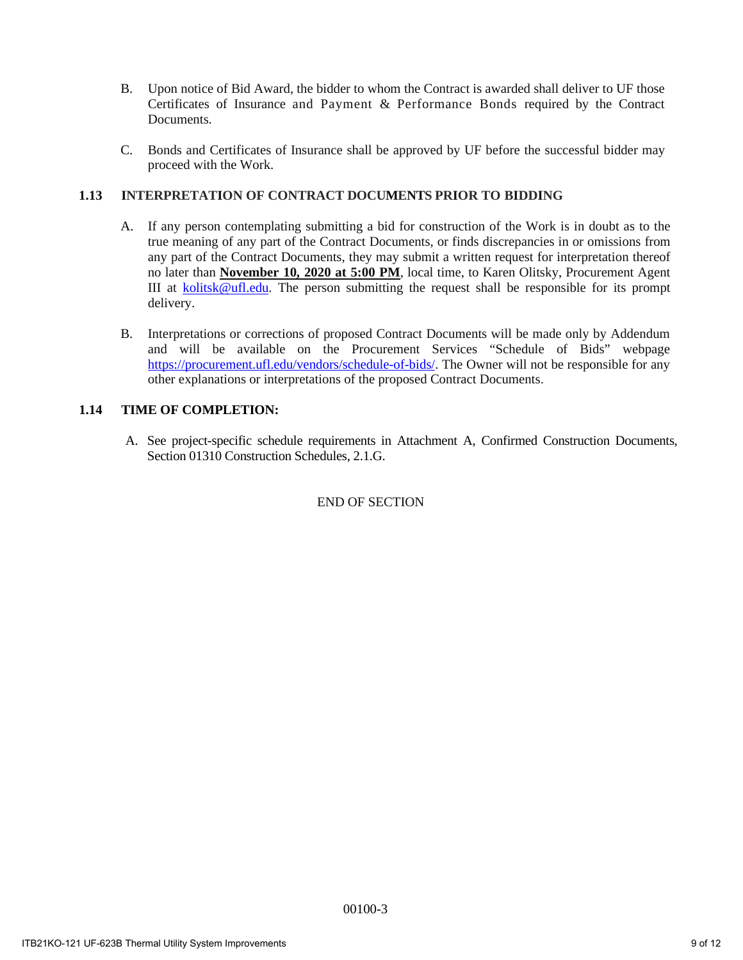- B. Upon notice of Bid Award, the bidder to whom the Contract is awarded shall deliver to UF those Certificates of Insurance and Payment & Performance Bonds required by the Contract **Documents**
- C. Bonds and Certificates of Insurance shall be approved by UF before the successful bidder may proceed with the Work.

#### **1.13 INTERPRETATION OF CONTRACT DOCUMENTS PRIOR TO BIDDING**

- A. If any person contemplating submitting a bid for construction of the Work is in doubt as to the true meaning of any part of the Contract Documents, or finds discrepancies in or omissions from any part of the Contract Documents, they may submit a written request for interpretation thereof no later than **November 10, 2020 at 5:00 PM**, local time, to Karen Olitsky, Procurement Agent III at kolitsk@ufl.edu. The person submitting the request shall be responsible for its prompt delivery.
- B. Interpretations or corrections of proposed Contract Documents will be made only by Addendum and will be available on the Procurement Services "Schedule of Bids" webpage https://procurement.ufl.edu/vendors/schedule-of-bids/. The Owner will not be responsible for any other explanations or interpretations of the proposed Contract Documents.

#### **1.14 TIME OF COMPLETION:**

A. See project-specific schedule requirements in Attachment A, Confirmed Construction Documents, Section 01310 Construction Schedules, 2.1.G.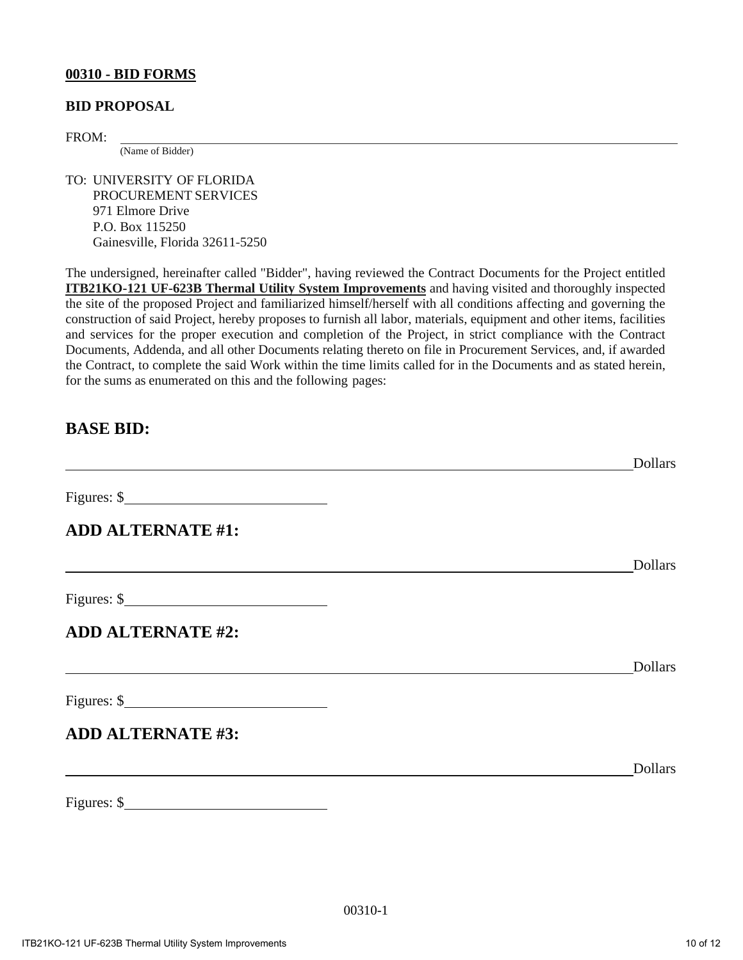#### **00310 - BID FORMS**

#### **BID PROPOSAL**

FROM:  $\frac{1}{(Name of Bidden)}$ 

TO: UNIVERSITY OF FLORIDA PROCUREMENT SERVICES 971 Elmore Drive P.O. Box 115250 Gainesville, Florida 32611-5250

The undersigned, hereinafter called "Bidder", having reviewed the Contract Documents for the Project entitled **ITB21KO-121 UF-623B Thermal Utility System Improvements** and having visited and thoroughly inspected the site of the proposed Project and familiarized himself/herself with all conditions affecting and governing the construction of said Project, hereby proposes to furnish all labor, materials, equipment and other items, facilities and services for the proper execution and completion of the Project, in strict compliance with the Contract Documents, Addenda, and all other Documents relating thereto on file in Procurement Services, and, if awarded the Contract, to complete the said Work within the time limits called for in the Documents and as stated herein, for the sums as enumerated on this and the following pages:

#### **BASE BID:**

|                                      | <b>Dollars</b> |
|--------------------------------------|----------------|
| Figures: $\frac{\text{S}}{\text{S}}$ |                |
| <b>ADD ALTERNATE #1:</b>             |                |
|                                      | <b>Dollars</b> |
| Figures: $\frac{\text{S}}{\text{S}}$ |                |
| <b>ADD ALTERNATE #2:</b>             |                |
|                                      | <b>Dollars</b> |
| $Figures:$ \$                        |                |
| <b>ADD ALTERNATE #3:</b>             |                |
|                                      | <b>Dollars</b> |
| Figures: $\frac{\text{S}}{\text{S}}$ |                |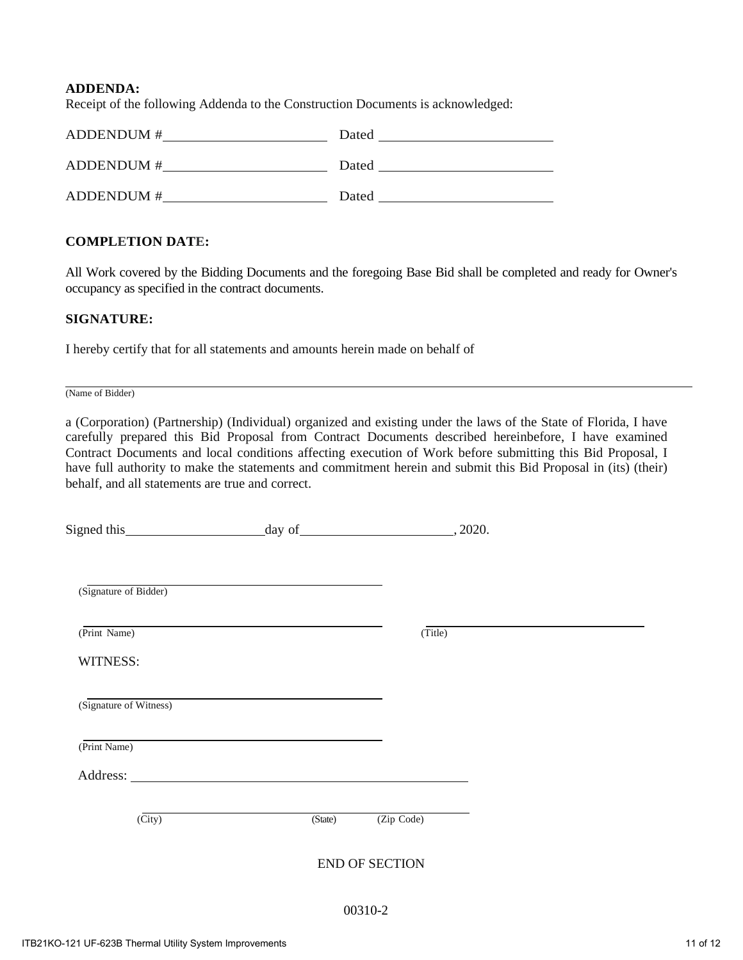#### **ADDENDA:**

Receipt of the following Addenda to the Construction Documents is acknowledged:

| ADDENDUM #       | Dated |
|------------------|-------|
| ADDENDUM#        | Dated |
| <b>ADDENDUM#</b> | Dated |

#### **COMPLETION DATE:**

All Work covered by the Bidding Documents and the foregoing Base Bid shall be completed and ready for Owner's occupancy as specified in the contract documents.

#### **SIGNATURE:**

I hereby certify that for all statements and amounts herein made on behalf of

(Name of Bidder)

a (Corporation) (Partnership) (Individual) organized and existing under the laws of the State of Florida, I have carefully prepared this Bid Proposal from Contract Documents described hereinbefore, I have examined Contract Documents and local conditions affecting execution of Work before submitting this Bid Proposal, I have full authority to make the statements and commitment herein and submit this Bid Proposal in (its) (their) behalf, and all statements are true and correct.

| Signed this              |         | $day of$ (2020.)      |  |
|--------------------------|---------|-----------------------|--|
|                          |         |                       |  |
| (Signature of Bidder)    |         |                       |  |
| (Print Name)             |         | (Title)               |  |
| WITNESS:                 |         |                       |  |
| (Signature of Witness)   |         |                       |  |
| (Print Name)             |         |                       |  |
|                          |         |                       |  |
| $\overline{\text{City}}$ | (State) | (Zip Code)            |  |
|                          |         | <b>END OF SECTION</b> |  |